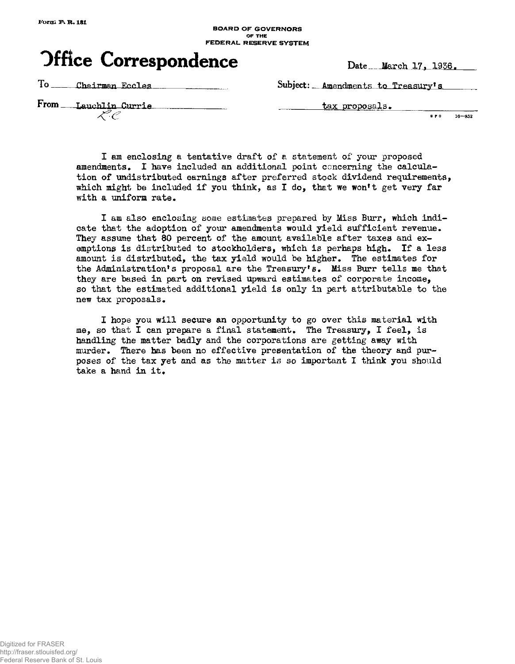#### **BOARD OF GOVERNORS or THE FEDERAL RESERVE SYSTEM**



To \_\_\_\_ Chairman Eccles

Subject: **Amendments to Treasury's** 

From Lauchlin Currie L C

**tax proposals** 

G P 0 **16** - 852

**I am enclosing a tentative draft of a statement of your proposed amendments. I have included an additional point concerning the calculation of undistributed earnings after preferred stock dividend requirements, which might be included if you think, as I do, that we won<sup>1</sup>t get very far**  with a uniform rate.

**I am also enclosing some estimates prepared by Miss Burr, which indicate that the adoption of your amendments would yield sufficient revenue. They assume that 80 percent of the amount available after taxes and exemptions is distributed to stockholders, which is perhaps high. If a less amount is distributed, the tax yield would be higher. The estimates for**  the Administration's proposal are the Treasury's. Miss Burr tells me that **they are based in part on revised upward estimates of corporate income, so that the estimated additional yield is only in part attributable to the new tax proposals.** 

**I hope you will secure an opportunity to go over this material with me, so that I can prepare a final statement. The Treasury, I feel, is handling the matter badly and the corporations are getting away with murder. There has been no effective presentation of the theory and purposes of the tax yet and as the matter is so important I think you should take a hand in it.**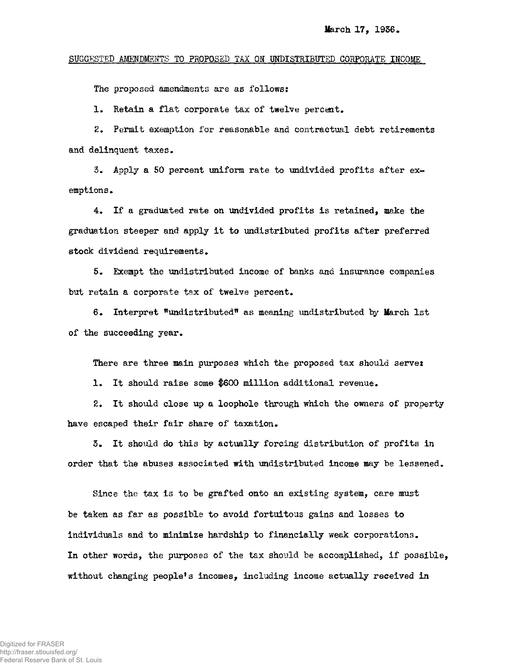## **SUGGESTED AMENDMENTS TO PROPOSED TAX OH UNDISTRIBUTED CORPORATE INCOME**

**The proposed amendments are as follows:** 

**1. Retain a flat corporate tax of twelve percent.** 

**2. Permit exemption for reasonable and contractual debt retirements and delinquent taxes.** 

**5. Apply a 50 percent uniform rate to undivided profits after exemptions .** 

**4. If a graduated rate on undivided profits is retained, make the graduation steeper and apply it to undistributed profits after preferred stock dividend requirements.** 

**5. Exempt the undistributed income of banks and insurance companies but retain a corporate tax of twelve percent.** 

**6. Interpret "undistributed" as meaning undistributed by March 1st of the succeeding year.** 

**There are three main purposes which the proposed tax should serve:** 

**1. It should raise some |600 million additional revenue.** 

**2. It should close up a loophole through which the owners of property have escaped their fair share of taxation.** 

**5. It should do this by actually forcing distribution of profits in order that the abuses associated with undistributed income may be lessened.** 

**Since the tax is to be grafted onto an existing system, care must be taken as far as possible to avoid fortuitous gains and losses to individuals and to minimize hardship to financially weak corporations. In other words, the purposes of the tax should be accomplished, if possible, without changing people's incomes, including income actually received in**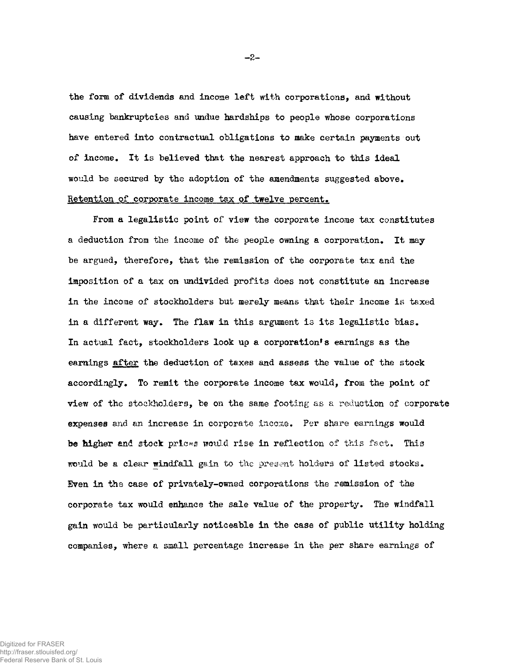**the form of dividends and income left with corporations, and without causing bankruptcies and undue hardships to people whose corporations have entered into contractual obligations to make certain payments out of income. It is believed that the nearest approach to this ideal would be secured by the adoption of the amendments suggested above. Retention of corporate income tax of twelve percent»** 

 $-2-$ 

**From a legalistic point of view the corporate income tax constitutes a deduction from the income of the people owning a corporation. It may be argued, therefore, that the remission of the corporate tax and the imposition of a tax on undivided profits does not constitute an increase in the income of stockholders but merely means that their income is taxed in a different way. The flaw in this argument is its legalistic bias.**  In actual fact, stockholders look up a corporation's earnings as the **earnings after the deduction of taxes and assess the value of the stock accordingly. To remit the corporate income tax would, from the point of view of the stockholders, be on the same footing as a reduction of corporate expenses and an increase in corporate income. Per share earnings would be higher and stock prices would rise in reflection of this fact. This would be a clear windfall gain to the present holders of listed stocks. Even in the case of privately-owned corporations the remission of the corporate tax would enhance the sale value of the property. The windfall gain would be particularly noticeable in the case of public utility holding companies, where a small percentage increase in the per share earnings of**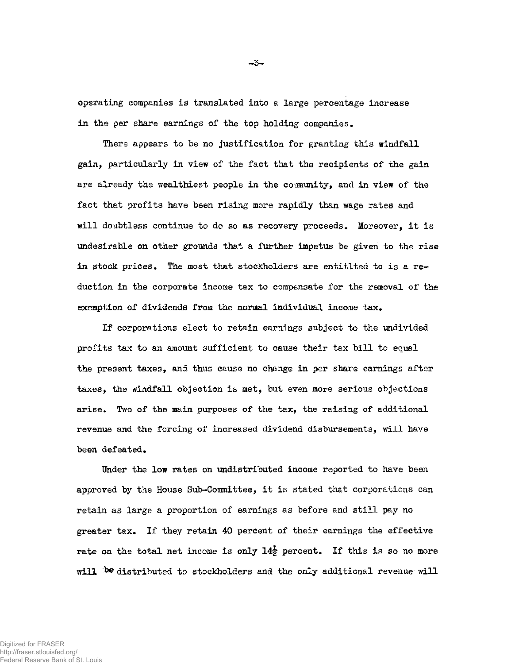**operating companies is translated into a large percentage increase in the per share earnings of the top holding companies.** 

**There appears to be no justification for granting this windfall gain, particularly in view of the fact that the recipients of the gain are already the wealthiest people in the community, and in view of the fact that profits have been rising more rapidly than wage rates and will doubtless continue to do so as recovery proceeds. Moreover, it is undesirable on other grounds that a further impetus be given to the rise in stock prices. The most that stockholders are entitlted to is a reduction in the corporate income tax to compensate for the removal of the**  exemption of dividends from the normal individual income tax.

**If corporations elect to retain earnings subject to the undivided profits tax to an amount sufficient to cause their tax bill to equal the present taxes, and thus cause no change in per share earnings after taxes, the windfall objection is met, but even more serious objections**  arise. Two of the main purposes of the tax, the raising of additional **revenue and the forcing of increased dividend disbursements, will have been defeated.** 

Under the low rates on undistributed income reported to have been **approved by the House Sub-Committee, it is stated that corporations can retain as large a proportion of earnings as before and still pay no greater tax. If they retain 40 percent of their earnings the effective**  rate on the total net income is only  $14\frac{1}{2}$  percent. If this is so no more will be distributed to stockholders and the only additional revenue will

**- 3 -**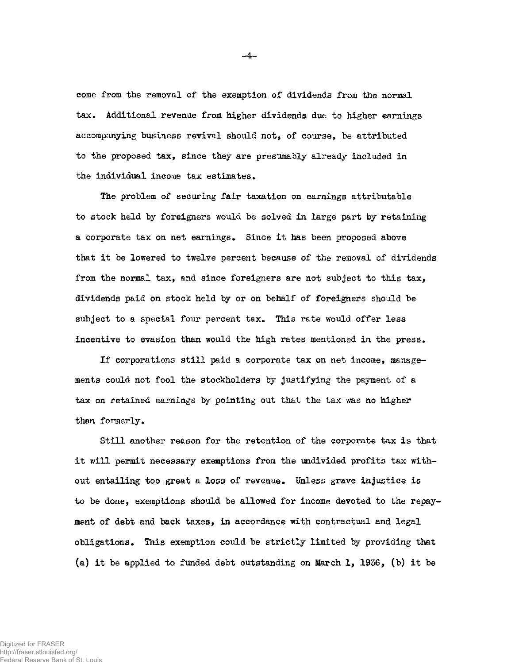**come from the removal of the exemption of dividends from the normal tax. Additional revenue from higher dividends due to higher earnings accompanying business revival should not, of course, be attributed to the proposed tax, since they are presumably already included in the individual income tax estimates.** 

**The problem of securing fair taxation on earnings attributable to stock held by foreigners would be solved in large part by retaining a corporate tax on net earnings. Since it has been proposed above that it be lowered to twelve percent because of the removal of dividends from the normal tax, and since foreigners are not subject to this tax, dividends paid on stock held by or on behalf of foreigners should be subject to a special four percent tax. This rate would offer less incentive to evasion than would the high rates mentioned in the press.** 

**If corporations still paid a corporate tax on net income, managements could not fool the stockholders by justifying the payment of a tax on retained earnings by pointing out that the tax was no higher than formerly.** 

**Still another reason for the retention of the corporate tax is that it will permit necessary exemptions from the undivided profits tax without entailing too great a loss of revenue. Unless grave injustice is to be done, exemptions should be allowed for income devoted to the repayment of debt and back taxes, in accordance with contractual and legal obligations• This exemption could be strictly limited by providing that (a) it be applied to funded debt outstanding on March 1, 1936, (b) it be** 

**\_ 4 -**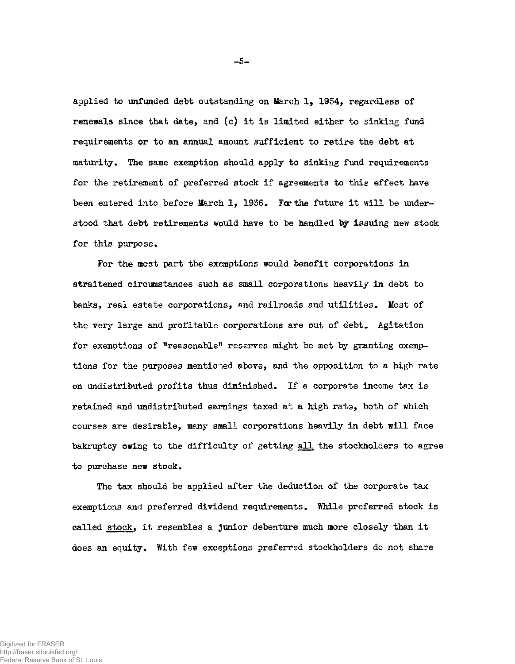**applied to unfunded debt outstanding on March 1, 1934, regardless of renewals since that date, and (c) it is limited either to sinking fund requirements or to an annual amount sufficient to retire the debt at maturity. The same exemption should apply to sinking fund requirements for the retirement of preferred stock if agreements to this effect have**  been entered into before March 1, 1936. For the future it will be under**stood that debt retirements would have to be handled by issuing new stock for this purpose.** 

**For the most part the exemptions would benefit corporations in straitened circumstances such as small corporations heavily in debt to banks, real estate corporations, and railroads and utilities. Most of the very large and profitable corporations are out of debt. Agitation**  for exemptions of "reasonable" reserves might be met by granting exemp**tions for the purposes mentioned above, and the opposition to a high rate on undistributed profits thus diminished. If a corporate income tax is retained and undistributed earnings taxed at a high rate, both of which courses are desirable, many small corporations heavily in debt will face bakruptcy owing to the difficulty of getting all the stockholders to agree to purchase new stock.** 

**The tax should be applied after the deduction of the corporate tax exemptions and preferred dividend requirements. While preferred stock is called stock, it resembles a junior debenture much more closely than it**  does an equity. With few exceptions preferred stockholders do not share

**- 5 -**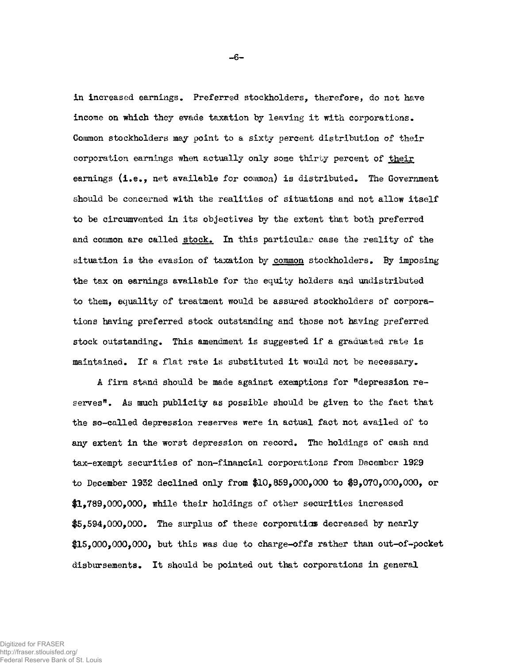**in increased earnings. Preferred stockholders, therefore, do not have income on which they evade taxation by leaving it with corporations. Common stockholders may point to a sixty percent distribution of their corporation earnings when actually only some thirty percent of their earnings (i.e., net available for common) is distributed. The Government should be concerned with the realities of situations and not allow itself to be circumvented in its objectives by the extent that both preferred and common are called stock. In this particular case the reality of the situation is the evasion of taxation by common stockholders. By imposing the tax on earnings available for the equity holders and undistributed to them, equality of treatment would be assured stockholders of corporations having preferred stock outstanding and those not having preferred stock outstanding. This amendment is suggested if a graduated rate is maintained. If a flat rate is substituted it would not be necessary.** 

**A firm stand should be made against exemptions for "depression reserves". As much publicity as possible should be given to the fact that the so-called depression reserves were in actual fact not availed of to any extent in the worst depression on record. The holdings of cash and tax-exempt securities of non-financial corporations from December 1929 to December 1952 declined only from \$10,859,000,000 to \$9,070,000,000, or #1,789,000,000, while their holdings of other securities increased \$5,594,000,000. The surplus of these corporation decreased by nearly \$15,000,000,000, but this was due to charge-offs rather than out-of-pocket disbursements. It should be pointed out that corporations in general** 

**- 6 -**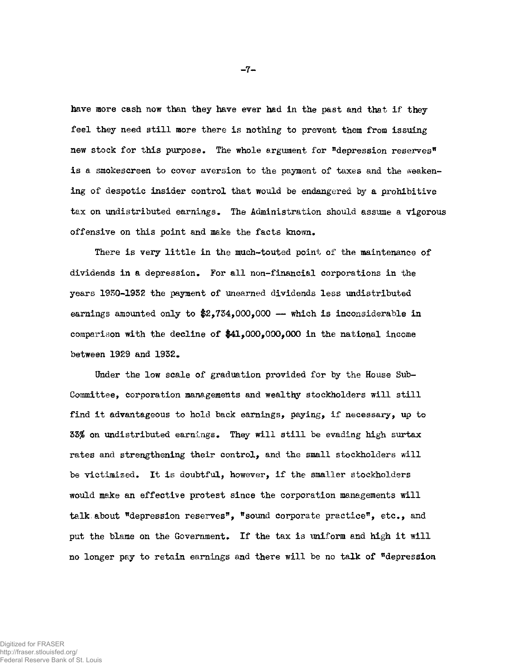**have more cash now than they have ever had in the past and that if they feel they need still more there is nothing to prevent them from issuing new stock for this purpose. The whole argument for "depression reserves" is a smokescreen to cover aversion to the payment of taxes and the weakening of despotic insider control that would be endangered by a prohibitive tax on undistributed earnings. The Administration should assume a vigorous offensive on this point and make the facts known.** 

**There is very little in the much-touted point of the maintenance of dividends in a depression. For all non-financial corporations in the years 1950-1932 the payment of unearned dividends less undistributed earnings amounted only to \$2,754,000,000 — which is inconsiderable in comparison with the decline of \$41,000,000,000 in the national income between 1929 and 1952.** 

**Under the low scale of graduation provided for by the House Sub-Committee, corporation managements and wealthy stockholders will still find it advantageous to hold back earnings, paying, if necessary, up to 55% on undistributed earnings. They will still be evading high surtax rates and strengthening their control, and the small stockholders will be victimized. It is doubtful, however, if the smaller stockholders would make an effective protest since the corporation managements will talk.about "depression reserves", "sound corporate practice", etc., and put the blame on the Government. If the tax is uniform and high it will no longer pay to retain earnings and there will be no talk of "depression**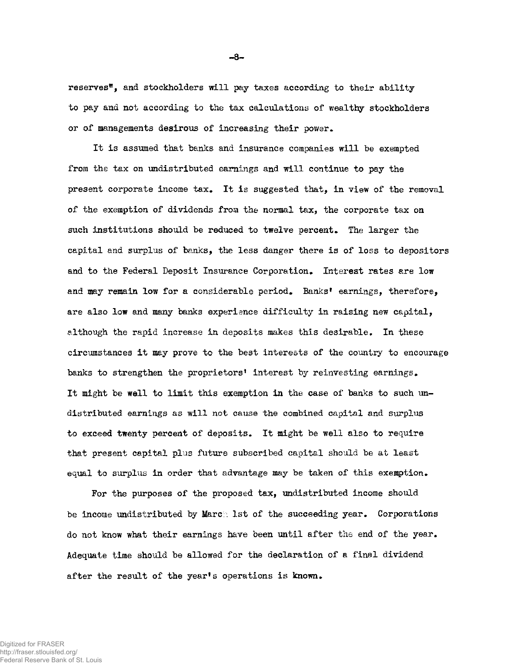**reserves\*, and stockholders will pay taxes according to their ability to pay and not according to the tax calculations of wealthy stockholders or of managements desirous of increasing their power.** 

**It is assumed that banks and insurance companies will be exempted from the tax on undistributed earnings and will continue to pay the present corporate income tax. It is suggested that, in view of the removal of the exemption of dividends from the normal tax, the corporate tax on such institutions should be reduced to twelve percent. The larger the**  capital and surplus of banks, the less danger there is of loss to depositors and to the Federal Deposit Insurance Corporation. Interest rates are low **and may remain low for a considerable period. Banks<sup>1</sup> earnings, therefore, are also low and many banks experience difficulty in raising new capital, although the rapid increase in deposits makes this desirable. In these circumstances it may prove to the best interests of the country to encourage banks to strengthen the proprietors<sup>1</sup> interest by reinvesting earnings. It might be well to limit this exemption in the case of banks to such undistributed earnings as will not cause the combined capital and surplus to exceed twenty percent of deposits. It might be well also to require that present capital plus future subscribed capital should be at least equal to surplus in order that advantage may be taken of this exemption.** 

**For the purposes of the proposed tax, undistributed income should be income undistributed by March 1st of the succeeding year. Corporations do not know what their earnings have been until after the end of the year. Adequate time should be allowed for the declaration of a final dividend after the result of the year's operations is known.** 

**- 8 -**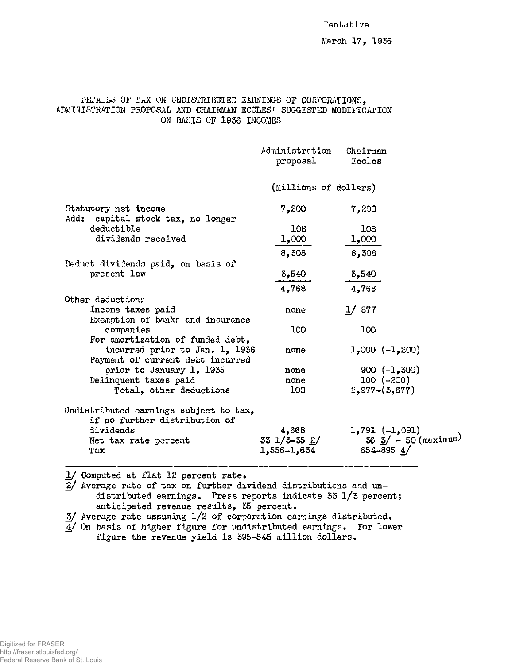#### **Tentative**

# **DETAILS OF TAX ON UNDISTRIBUTED EARNINGS OF CORPORATIONS, ADMINISTRATION PROPOSAL AND CHAIRMAN ECCLES<sup>1</sup> SUGGESTED MODIFICATION ON BASIS OF 1956 INCOMES**

|                                                                         | Administration<br>proposal        | Chairman<br>Eccles                                              |
|-------------------------------------------------------------------------|-----------------------------------|-----------------------------------------------------------------|
|                                                                         | (Millions of dollars)             |                                                                 |
| Statutory net income<br>Add: capital stock tax, no longer               | 7,200                             | 7,200                                                           |
| deductible                                                              | 108                               | 108                                                             |
| dividends received                                                      | 1,000                             | 1,000                                                           |
|                                                                         | 8,308                             | 8,308                                                           |
| Deduct dividends paid, on basis of                                      |                                   |                                                                 |
| present law                                                             | 3,540                             | 3,540                                                           |
|                                                                         | 4,768                             | 4,768                                                           |
| Other deductions                                                        |                                   |                                                                 |
| Income taxes paid                                                       | none                              | 1/877                                                           |
| Exemption of banks and insurance                                        |                                   |                                                                 |
| companies                                                               | 100                               | 100                                                             |
| For amortization of funded debt,                                        |                                   |                                                                 |
| incurred prior to Jan. 1, 1936                                          | none                              | $1,000 (-1,200)$                                                |
| Payment of current debt incurred<br>prior to January 1, 1935            | none                              | $900 (-1, 300)$                                                 |
| Delinquent taxes paid                                                   | none                              | $100 (-200)$                                                    |
| Total, other deductions                                                 | 100                               | $2,977 - (3,677)$                                               |
|                                                                         |                                   |                                                                 |
| Undistributed earnings subject to tax,<br>if no further distribution of |                                   |                                                                 |
| dividends                                                               | 4,668                             | $1,791 (-1,091)$                                                |
| Net tax rate percent                                                    | $33 \frac{1}{3} - 35 \frac{2}{3}$ | $36 \frac{3}{ } - 50 \frac{(\text{maximum})}{(\text{maximum})}$ |
| Tax                                                                     | 1,556–1,634                       | 654-895 $4/$                                                    |
|                                                                         |                                   |                                                                 |

**1/ Computed at flat 12 percent rate.** 

**2/ Average rate of tax on further dividend distributions and undistributed earnings. Press reports indicate 55 1/3 percent; anticipated revenue results, 55 percent.** 

**5/ Average rate assuming 1/2 of corporation earnings distributed.** 

**4/ On basis of higher figure for undistributed earnings. For lower figure the revenue yield is 595-545 million dollars.**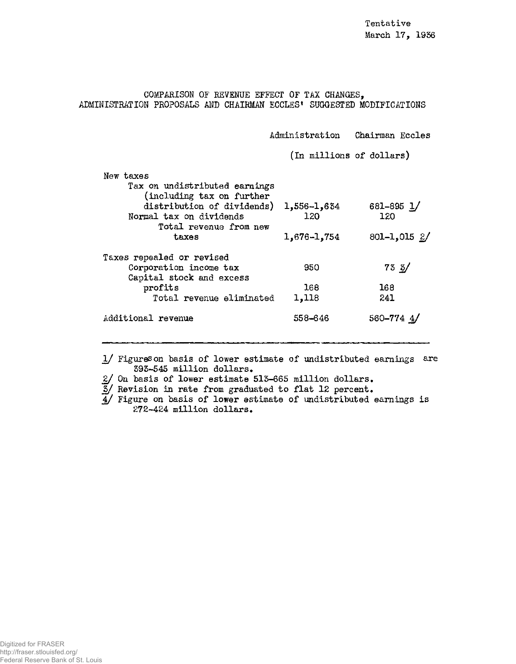**COMPARISON OF REVENUE EFFECT OF TAX CHANGES, ADMINISTRATION PROPOSALS AND CHAIRMAN ECCLES\* SUGGESTED MODIFICATIONS** 

**Administration Chairman Eccles** 

**(In millions of dollars)** 

| New taxes                     |             |                  |
|-------------------------------|-------------|------------------|
| Tax on undistributed earnings |             |                  |
| (including tax on further     |             |                  |
| distribution of dividends)    | 1,556-1,634 | $681 - 895$ 1/   |
| Normal tax on dividends       | 120         | 120              |
| Total revenue from new        |             |                  |
| taxes                         | 1,676-1,754 | $801 - 1,015$ 2/ |
|                               |             |                  |
| Taxes repealed or revised     |             |                  |
| Corporation income tax        | 950         | $73 \frac{3}{ }$ |
| Capital stock and excess      |             |                  |
| profits                       | 168         | 168              |
| Total revenue eliminated      | 1,118       | 241              |
| Additional revenue            | 558-646     | 560-774 4/       |
|                               |             |                  |

**1/ Figures on basis of lower estimate of undistributed earnings are 393-545 million dollars•** 

**2/ On basis of lower estimate 513-665 million dollars•** 

**3/ Revision in rate from graduated to flat 12 percent.** 

**4/ Figure on basis of lower estimate of undistributed earnings is 272-424 million dollars.**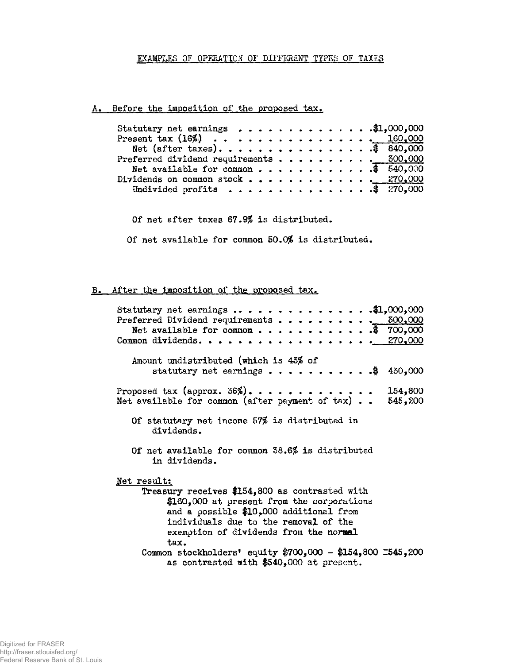### **EXAMPLES OF OPERATION OF DIFFERENT TYPES OF TAXES**

# A. Before the imposition of the proposed tax.

| Statutary net earnings \$1,000,000    |  |
|---------------------------------------|--|
| Present tax $(16\%)$ 160,000          |  |
| Net (after taxes). \$ 840,000         |  |
|                                       |  |
| Net available for common \$ $540.000$ |  |
| Dividends on common stock 270,000     |  |
| Undivided profits \$ 270,000          |  |

**Of net after taxes 67.9\$ is distributed.** 

**Of net available for common 50.0\$ is distributed.** 

## **B.** After the imposition of the proposed tax.

| Statutary net earnings \$1,000,000<br>Preferred Dividend requirements 500,000<br>Net available for common \$ 700,000<br>Common dividends. <u>270,000</u>                                                                           |
|------------------------------------------------------------------------------------------------------------------------------------------------------------------------------------------------------------------------------------|
| Amount undistributed (which is 43% of<br>statutary net earnings \$ 430,000                                                                                                                                                         |
| Proposed tax (approx. $36\%$ )<br>154,800<br>Net available for common (after payment of tax) 545,200                                                                                                                               |
| Of statutary net income 57% is distributed in<br>dividends.                                                                                                                                                                        |
| Of net available for common 38.6% is distributed<br>in dividends.                                                                                                                                                                  |
| Net result:                                                                                                                                                                                                                        |
| Treasury receives \$154,800 as contrasted with<br>\$160,000 at present from the corporations<br>and a possible \$10,000 additional from<br>individuals due to the removal of the<br>exemption of dividends from the normal<br>tax. |
| Common stockholders' equity \$700,000 - \$154,800 2545,200<br>as contrasted with \$540,000 at present.                                                                                                                             |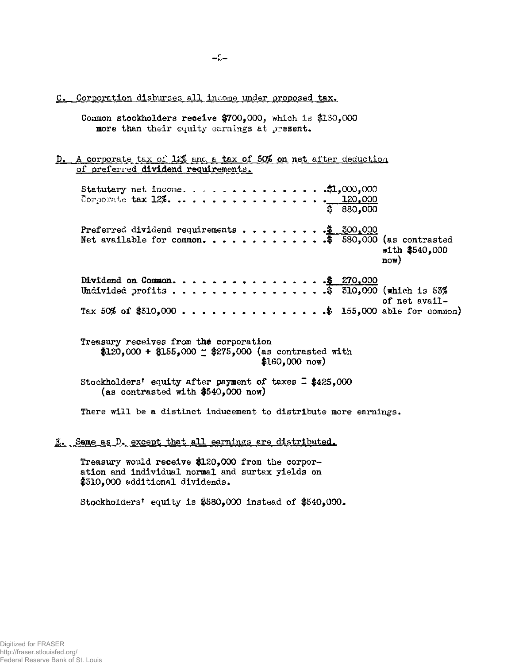C. Corporation disburses all income under proposed tax.

- **Common stockholders receive #700,000, which is #160,000 more than their equity earnings at present.**
- **D. A corporate tax of 12\$ and a tax of 50% on net after deduction**  of preferred dividend requirements.

**Statutary net income.** . . . . . . . . . . . . . . \$1,000,000 Corporate **tax 12%, .. , , , , , , , , , , , , , <u>, 120,000</u> | # 880,000 Preferred dividend requirements . . . . . . . . \$ 300,000 Net available for common ........ # 580,000 (as contrasted with #540,000 now) Dividend on Common. ..... . .1 270>000 Undivided profits • • . . . .\$ 310,000 (which is 53\$** 

**of net avail-**Tax 50% of \$310,000 . . . . . . . . . . . . . . \$ 155,000 able for common)

**Treasury receives from the corporation**  $$120,000 + $155,000 = $275,000$  (as contrasted with **#160,000 now)** 

**Stockholders<sup>1</sup> equity after payment of taxes** *Z* **#425,000 (as contrasted with #540,000 now)** 

**There will be a distinct inducement to distribute more earnings.** 

**E.** Same as D. except that all earnings are distributed.

**Treasury would receive #120,000 from the corporation and individual normal and surtax yields on #310,000 additional dividends.** 

**Stockholders<sup>1</sup> equity is #580,000 instead of #540,000.**